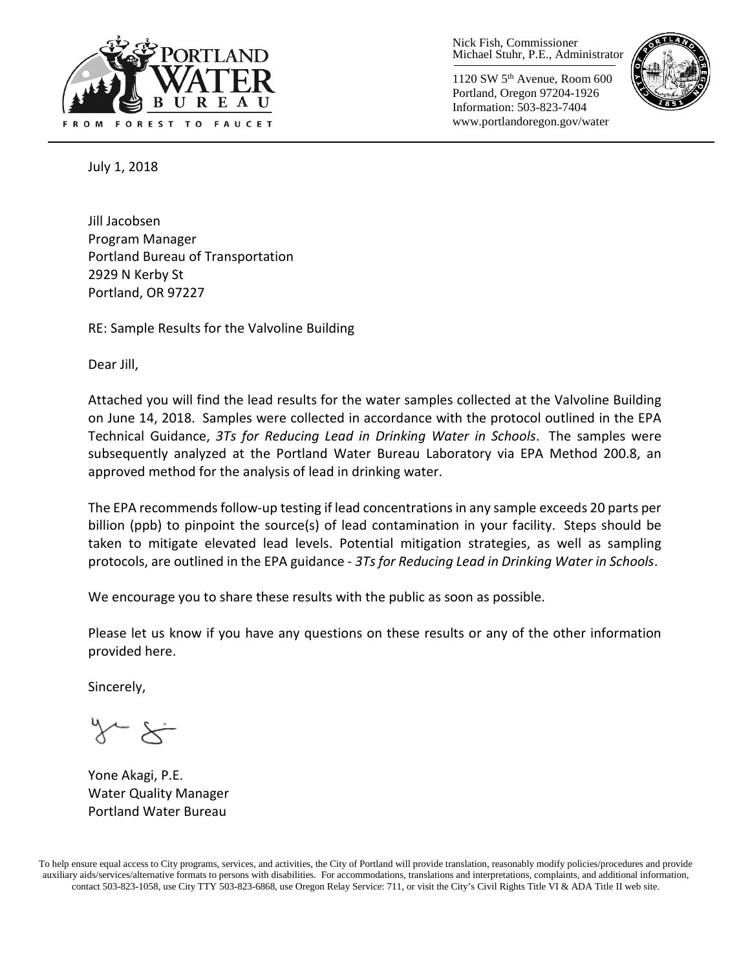

Nick Fish, Commissioner Michael Stuhr, P.E., Administrator

1120 SW 5th Avenue, Room 600 Portland, Oregon 97204-1926 Information: 503-823-7404 www.portlandoregon.gov/water



July 1, 2018

Jill Jacobsen Program Manager Portland Bureau of Transportation 2929 N Kerby St Portland, OR 97227

RE: Sample Results for the Valvoline Building

Dear Jill,

Attached you will find the lead results for the water samples collected at the Valvoline Building on June 14, 2018. Samples were collected in accordance with the protocol outlined in the EPA Technical Guidance, *3Ts for Reducing Lead in Drinking Water in Schools*. The samples were subsequently analyzed at the Portland Water Bureau Laboratory via EPA Method 200.8, an approved method for the analysis of lead in drinking water.

The EPA recommends follow-up testing if lead concentrations in any sample exceeds 20 parts per billion (ppb) to pinpoint the source(s) of lead contamination in your facility. Steps should be taken to mitigate elevated lead levels. Potential mitigation strategies, as well as sampling protocols, are outlined in the EPA guidance - *3Ts for Reducing Lead in Drinking Water in Schools*.

We encourage you to share these results with the public as soon as possible.

Please let us know if you have any questions on these results or any of the other information provided here.

Sincerely,

Yone Akagi, P.E. Water Quality Manager Portland Water Bureau

To help ensure equal access to City programs, services, and activities, the City of Portland will provide translation, reasonably modify policies/procedures and provide auxiliary aids/services/alternative formats to persons with disabilities. For accommodations, translations and interpretations, complaints, and additional information, contact 503-823-1058, use City TTY 503-823-6868, use Oregon Relay Service: 711, or visi[t the City's Civil Rights Title VI & ADA Title II web site.](http://www.portlandoregon.gov/oehr/66458)